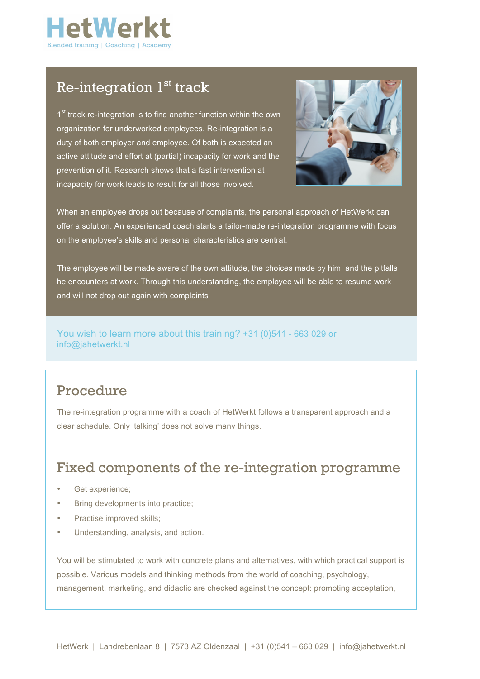

## Re-integration  $1<sup>st</sup>$  track

1<sup>st</sup> track re-integration is to find another function within the own organization for underworked employees. Re-integration is a duty of both employer and employee. Of both is expected an active attitude and effort at (partial) incapacity for work and the prevention of it. Research shows that a fast intervention at incapacity for work leads to result for all those involved.



When an employee drops out because of complaints, the personal approach of HetWerkt can offer a solution. An experienced coach starts a tailor-made re-integration programme with focus on the employee's skills and personal characteristics are central.

The employee will be made aware of the own attitude, the choices made by him, and the pitfalls he encounters at work. Through this understanding, the employee will be able to resume work and will not drop out again with complaints

You wish to learn more about this training? +31 (0)541 - 663 029 or info@jahetwerkt.nl

### Procedure

The re-integration programme with a coach of HetWerkt follows a transparent approach and a clear schedule. Only 'talking' does not solve many things.

### Fixed components of the re-integration programme

- Get experience;
- Bring developments into practice;
- Practise improved skills:
- Understanding, analysis, and action.

You will be stimulated to work with concrete plans and alternatives, with which practical support is possible. Various models and thinking methods from the world of coaching, psychology, management, marketing, and didactic are checked against the concept: promoting acceptation,